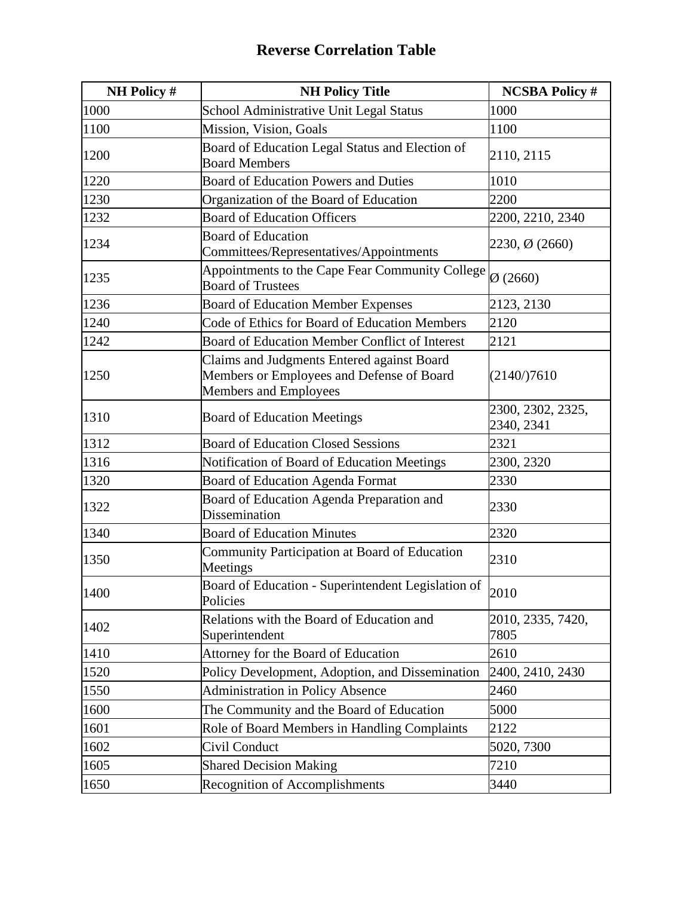| <b>NH Policy #</b> | <b>NH Policy Title</b>                                                                                           | <b>NCSBA Policy #</b>           |
|--------------------|------------------------------------------------------------------------------------------------------------------|---------------------------------|
| 1000               | School Administrative Unit Legal Status                                                                          | 1000                            |
| 1100               | Mission, Vision, Goals                                                                                           | 1100                            |
| 1200               | Board of Education Legal Status and Election of<br><b>Board Members</b>                                          | 2110, 2115                      |
| 1220               | <b>Board of Education Powers and Duties</b>                                                                      | 1010                            |
| 1230               | Organization of the Board of Education                                                                           | 2200                            |
| 1232               | <b>Board of Education Officers</b>                                                                               | 2200, 2210, 2340                |
| 1234               | <b>Board of Education</b><br>Committees/Representatives/Appointments                                             | 2230, Ø (2660)                  |
| 1235               | Appointments to the Cape Fear Community College<br><b>Board of Trustees</b>                                      | $\varnothing$ (2660)            |
| 1236               | <b>Board of Education Member Expenses</b>                                                                        | 2123, 2130                      |
| 1240               | Code of Ethics for Board of Education Members                                                                    | 2120                            |
| 1242               | Board of Education Member Conflict of Interest                                                                   | 2121                            |
| 1250               | Claims and Judgments Entered against Board<br>Members or Employees and Defense of Board<br>Members and Employees | (2140)/7610                     |
| 1310               | <b>Board of Education Meetings</b>                                                                               | 2300, 2302, 2325,<br>2340, 2341 |
| 1312               | <b>Board of Education Closed Sessions</b>                                                                        | 2321                            |
| 1316               | Notification of Board of Education Meetings                                                                      | 2300, 2320                      |
| 1320               | Board of Education Agenda Format                                                                                 | 2330                            |
| 1322               | Board of Education Agenda Preparation and<br>Dissemination                                                       | 2330                            |
| 1340               | <b>Board of Education Minutes</b>                                                                                | 2320                            |
| 1350               | Community Participation at Board of Education<br>Meetings                                                        | 2310                            |
| 1400               | Board of Education - Superintendent Legislation of<br>Policies                                                   | 2010                            |
| 1402               | Relations with the Board of Education and<br>Superintendent                                                      | 2010, 2335, 7420,<br>7805       |
| 1410               | Attorney for the Board of Education                                                                              | 2610                            |
| 1520               | Policy Development, Adoption, and Dissemination                                                                  | 2400, 2410, 2430                |
| 1550               | Administration in Policy Absence                                                                                 | 2460                            |
| 1600               | The Community and the Board of Education                                                                         | 5000                            |
| 1601               | Role of Board Members in Handling Complaints                                                                     | 2122                            |
| 1602               | Civil Conduct                                                                                                    | 5020, 7300                      |
| 1605               | <b>Shared Decision Making</b>                                                                                    | 7210                            |
| 1650               | <b>Recognition of Accomplishments</b>                                                                            | 3440                            |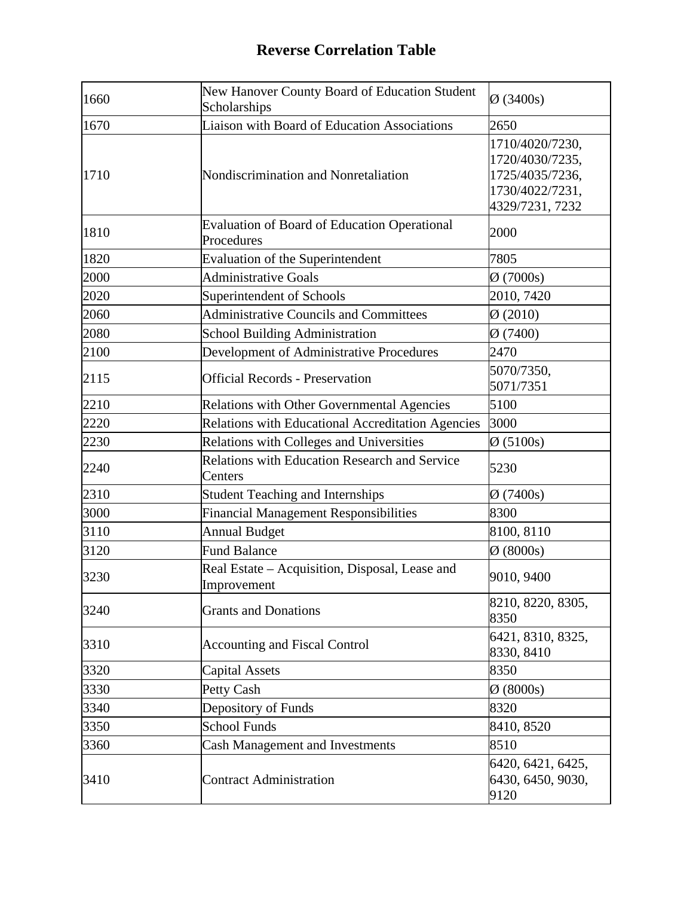| 1660 | New Hanover County Board of Education Student<br>Scholarships     | $\varnothing$ (3400s)                                                                       |
|------|-------------------------------------------------------------------|---------------------------------------------------------------------------------------------|
| 1670 | <b>Liaison with Board of Education Associations</b>               | 2650                                                                                        |
| 1710 | Nondiscrimination and Nonretaliation                              | 1710/4020/7230,<br>1720/4030/7235,<br>1725/4035/7236,<br>1730/4022/7231,<br>4329/7231, 7232 |
| 1810 | <b>Evaluation of Board of Education Operational</b><br>Procedures | 2000                                                                                        |
| 1820 | Evaluation of the Superintendent                                  | 7805                                                                                        |
| 2000 | <b>Administrative Goals</b>                                       | $\varnothing$ (7000s)                                                                       |
| 2020 | Superintendent of Schools                                         | 2010, 7420                                                                                  |
| 2060 | <b>Administrative Councils and Committees</b>                     | $\emptyset$ (2010)                                                                          |
| 2080 | <b>School Building Administration</b>                             | $\varnothing$ (7400)                                                                        |
| 2100 | Development of Administrative Procedures                          | 2470                                                                                        |
| 2115 | <b>Official Records - Preservation</b>                            | 5070/7350,<br>5071/7351                                                                     |
| 2210 | Relations with Other Governmental Agencies                        | 5100                                                                                        |
| 2220 | Relations with Educational Accreditation Agencies                 | 3000                                                                                        |
| 2230 | Relations with Colleges and Universities                          | $\varnothing$ (5100s)                                                                       |
| 2240 | <b>Relations with Education Research and Service</b><br>Centers   | 5230                                                                                        |
| 2310 | <b>Student Teaching and Internships</b>                           | $\varnothing$ (7400s)                                                                       |
| 3000 | <b>Financial Management Responsibilities</b>                      | 8300                                                                                        |
| 3110 | <b>Annual Budget</b>                                              | 8100, 8110                                                                                  |
| 3120 | <b>Fund Balance</b>                                               | $\varnothing$ (8000s)                                                                       |
| 3230 | Real Estate – Acquisition, Disposal, Lease and<br>Improvement     | 9010, 9400                                                                                  |
| 3240 | <b>Grants and Donations</b>                                       | 8210, 8220, 8305,<br>8350                                                                   |
| 3310 | <b>Accounting and Fiscal Control</b>                              | 6421, 8310, 8325,<br>8330, 8410                                                             |
| 3320 | <b>Capital Assets</b>                                             | 8350                                                                                        |
| 3330 | <b>Petty Cash</b>                                                 | $\varnothing$ (8000s)                                                                       |
| 3340 | Depository of Funds                                               | 8320                                                                                        |
| 3350 | <b>School Funds</b>                                               | 8410, 8520                                                                                  |
| 3360 | Cash Management and Investments                                   | 8510                                                                                        |
| 3410 | <b>Contract Administration</b>                                    | 6420, 6421, 6425,<br>6430, 6450, 9030,<br>9120                                              |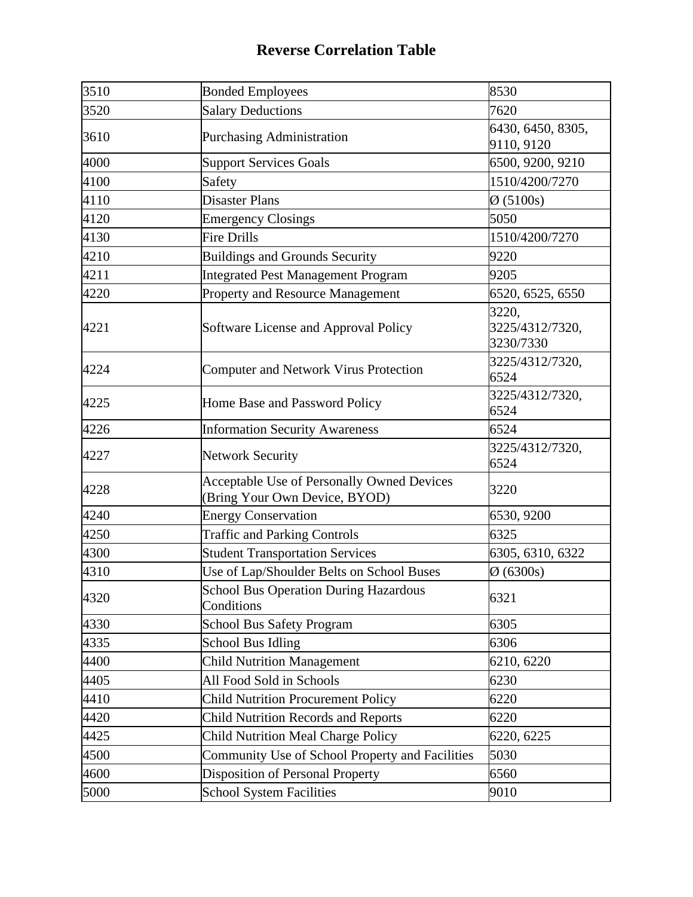| 3510 | <b>Bonded Employees</b>                                                            | 8530                                  |
|------|------------------------------------------------------------------------------------|---------------------------------------|
| 3520 | <b>Salary Deductions</b>                                                           | 7620                                  |
| 3610 | <b>Purchasing Administration</b>                                                   | 6430, 6450, 8305,<br>9110, 9120       |
| 4000 | <b>Support Services Goals</b>                                                      | 6500, 9200, 9210                      |
| 4100 | Safety                                                                             | 1510/4200/7270                        |
| 4110 | <b>Disaster Plans</b>                                                              | $\varnothing$ (5100s)                 |
| 4120 | <b>Emergency Closings</b>                                                          | 5050                                  |
| 4130 | <b>Fire Drills</b>                                                                 | 1510/4200/7270                        |
| 4210 | <b>Buildings and Grounds Security</b>                                              | 9220                                  |
| 4211 | <b>Integrated Pest Management Program</b>                                          | 9205                                  |
| 4220 | Property and Resource Management                                                   | 6520, 6525, 6550                      |
| 4221 | Software License and Approval Policy                                               | 3220,<br>3225/4312/7320,<br>3230/7330 |
| 4224 | <b>Computer and Network Virus Protection</b>                                       | 3225/4312/7320,<br>6524               |
| 4225 | Home Base and Password Policy                                                      | 3225/4312/7320,<br>6524               |
| 4226 | <b>Information Security Awareness</b>                                              | 6524                                  |
| 4227 | <b>Network Security</b>                                                            | 3225/4312/7320,<br>6524               |
| 4228 | <b>Acceptable Use of Personally Owned Devices</b><br>(Bring Your Own Device, BYOD) | 3220                                  |
| 4240 | <b>Energy Conservation</b>                                                         | 6530, 9200                            |
| 4250 | <b>Traffic and Parking Controls</b>                                                | 6325                                  |
| 4300 | <b>Student Transportation Services</b>                                             | 6305, 6310, 6322                      |
| 4310 | Use of Lap/Shoulder Belts on School Buses                                          | $\varnothing$ (6300s)                 |
| 4320 | <b>School Bus Operation During Hazardous</b><br>Conditions                         | 6321                                  |
| 4330 | <b>School Bus Safety Program</b>                                                   | 6305                                  |
| 4335 | <b>School Bus Idling</b>                                                           | 6306                                  |
| 4400 | <b>Child Nutrition Management</b>                                                  | 6210, 6220                            |
| 4405 | All Food Sold in Schools                                                           | 6230                                  |
| 4410 | <b>Child Nutrition Procurement Policy</b>                                          | 6220                                  |
| 4420 | <b>Child Nutrition Records and Reports</b>                                         | 6220                                  |
| 4425 | <b>Child Nutrition Meal Charge Policy</b>                                          | 6220, 6225                            |
| 4500 | Community Use of School Property and Facilities                                    | 5030                                  |
| 4600 | <b>Disposition of Personal Property</b>                                            | 6560                                  |
| 5000 | <b>School System Facilities</b>                                                    | 9010                                  |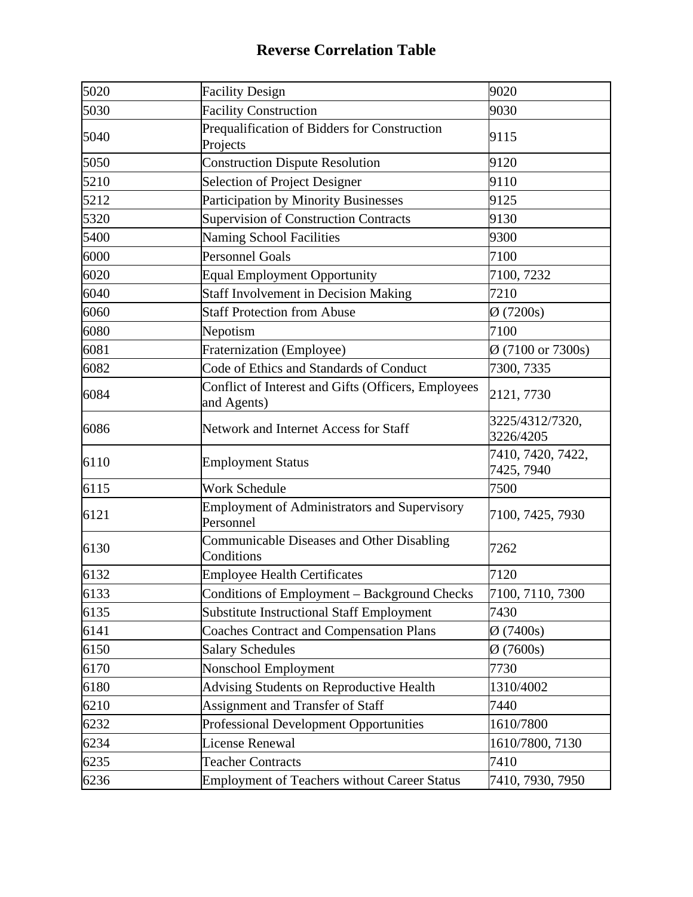| 5020 | <b>Facility Design</b>                                             | 9020                            |
|------|--------------------------------------------------------------------|---------------------------------|
| 5030 | <b>Facility Construction</b>                                       | 9030                            |
| 5040 | Prequalification of Bidders for Construction<br>Projects           | 9115                            |
| 5050 | <b>Construction Dispute Resolution</b>                             | 9120                            |
| 5210 | Selection of Project Designer                                      | 9110                            |
| 5212 | <b>Participation by Minority Businesses</b>                        | 9125                            |
| 5320 | <b>Supervision of Construction Contracts</b>                       | 9130                            |
| 5400 | <b>Naming School Facilities</b>                                    | 9300                            |
| 6000 | <b>Personnel Goals</b>                                             | 7100                            |
| 6020 | <b>Equal Employment Opportunity</b>                                | 7100, 7232                      |
| 6040 | <b>Staff Involvement in Decision Making</b>                        | 7210                            |
| 6060 | <b>Staff Protection from Abuse</b>                                 | $\varnothing$ (7200s)           |
| 6080 | Nepotism                                                           | 7100                            |
| 6081 | Fraternization (Employee)                                          | $\emptyset$ (7100 or 7300s)     |
| 6082 | Code of Ethics and Standards of Conduct                            | 7300, 7335                      |
| 6084 | Conflict of Interest and Gifts (Officers, Employees<br>and Agents) | 2121, 7730                      |
| 6086 | Network and Internet Access for Staff                              | 3225/4312/7320,<br>3226/4205    |
| 6110 | <b>Employment Status</b>                                           | 7410, 7420, 7422,<br>7425, 7940 |
| 6115 | <b>Work Schedule</b>                                               | 7500                            |
| 6121 | <b>Employment of Administrators and Supervisory</b><br>Personnel   | 7100, 7425, 7930                |
| 6130 | Communicable Diseases and Other Disabling<br>Conditions            | 7262                            |
| 6132 | <b>Employee Health Certificates</b>                                | 7120                            |
| 6133 | Conditions of Employment - Background Checks                       | 7100, 7110, 7300                |
| 6135 | <b>Substitute Instructional Staff Employment</b>                   | 7430                            |
| 6141 | <b>Coaches Contract and Compensation Plans</b>                     | $\varnothing$ (7400s)           |
| 6150 | <b>Salary Schedules</b>                                            | $\varnothing$ (7600s)           |
| 6170 | Nonschool Employment                                               | 7730                            |
| 6180 | <b>Advising Students on Reproductive Health</b>                    | 1310/4002                       |
| 6210 | Assignment and Transfer of Staff                                   | 7440                            |
| 6232 | <b>Professional Development Opportunities</b>                      | 1610/7800                       |
| 6234 | <b>License Renewal</b>                                             | 1610/7800, 7130                 |
| 6235 | <b>Teacher Contracts</b>                                           | 7410                            |
| 6236 | <b>Employment of Teachers without Career Status</b>                | 7410, 7930, 7950                |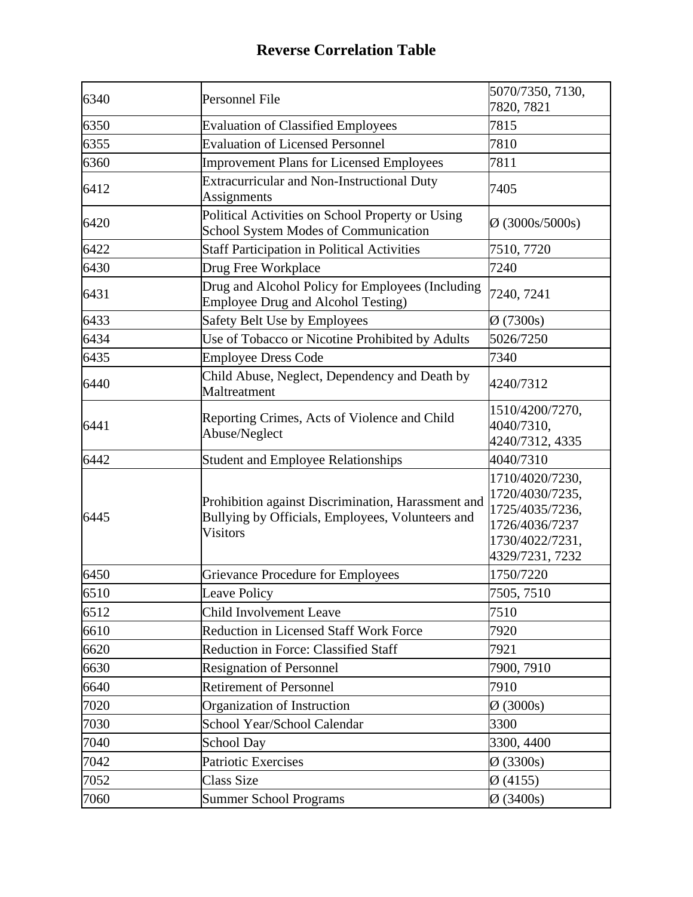| 6340 | Personnel File                                                                                                            | 5070/7350, 7130,<br>7820, 7821                                                                                |
|------|---------------------------------------------------------------------------------------------------------------------------|---------------------------------------------------------------------------------------------------------------|
| 6350 | <b>Evaluation of Classified Employees</b>                                                                                 | 7815                                                                                                          |
| 6355 | <b>Evaluation of Licensed Personnel</b>                                                                                   | 7810                                                                                                          |
| 6360 | <b>Improvement Plans for Licensed Employees</b>                                                                           | 7811                                                                                                          |
| 6412 | Extracurricular and Non-Instructional Duty<br>Assignments                                                                 | 7405                                                                                                          |
| 6420 | Political Activities on School Property or Using<br>School System Modes of Communication                                  | $\varnothing$ (3000s/5000s)                                                                                   |
| 6422 | <b>Staff Participation in Political Activities</b>                                                                        | 7510, 7720                                                                                                    |
| 6430 | Drug Free Workplace                                                                                                       | 7240                                                                                                          |
| 6431 | Drug and Alcohol Policy for Employees (Including<br>Employee Drug and Alcohol Testing)                                    | 7240, 7241                                                                                                    |
| 6433 | Safety Belt Use by Employees                                                                                              | $\varnothing$ (7300s)                                                                                         |
| 6434 | Use of Tobacco or Nicotine Prohibited by Adults                                                                           | 5026/7250                                                                                                     |
| 6435 | <b>Employee Dress Code</b>                                                                                                | 7340                                                                                                          |
| 6440 | Child Abuse, Neglect, Dependency and Death by<br>Maltreatment                                                             | 4240/7312                                                                                                     |
| 6441 | Reporting Crimes, Acts of Violence and Child<br>Abuse/Neglect                                                             | 1510/4200/7270,<br>4040/7310,<br>4240/7312, 4335                                                              |
| 6442 | <b>Student and Employee Relationships</b>                                                                                 | 4040/7310                                                                                                     |
| 6445 | Prohibition against Discrimination, Harassment and<br>Bullying by Officials, Employees, Volunteers and<br><b>Visitors</b> | 1710/4020/7230,<br>1720/4030/7235,<br>1725/4035/7236,<br>1726/4036/7237<br>1730/4022/7231,<br>4329/7231, 7232 |
| 6450 | Grievance Procedure for Employees                                                                                         | 1750/7220                                                                                                     |
| 6510 | Leave Policy                                                                                                              | 7505, 7510                                                                                                    |
| 6512 | <b>Child Involvement Leave</b>                                                                                            | 7510                                                                                                          |
| 6610 | <b>Reduction in Licensed Staff Work Force</b>                                                                             | 7920                                                                                                          |
| 6620 | Reduction in Force: Classified Staff                                                                                      | 7921                                                                                                          |
| 6630 | <b>Resignation of Personnel</b>                                                                                           | 7900, 7910                                                                                                    |
| 6640 | <b>Retirement of Personnel</b>                                                                                            | 7910                                                                                                          |
| 7020 | Organization of Instruction                                                                                               | $\varnothing$ (3000s)                                                                                         |
| 7030 | School Year/School Calendar                                                                                               | 3300                                                                                                          |
| 7040 | <b>School Day</b>                                                                                                         | 3300, 4400                                                                                                    |
| 7042 | Patriotic Exercises                                                                                                       | $\varnothing$ (3300s)                                                                                         |
| 7052 | <b>Class Size</b>                                                                                                         | Ø(4155)                                                                                                       |
| 7060 | <b>Summer School Programs</b>                                                                                             | $Ø$ (3400s)                                                                                                   |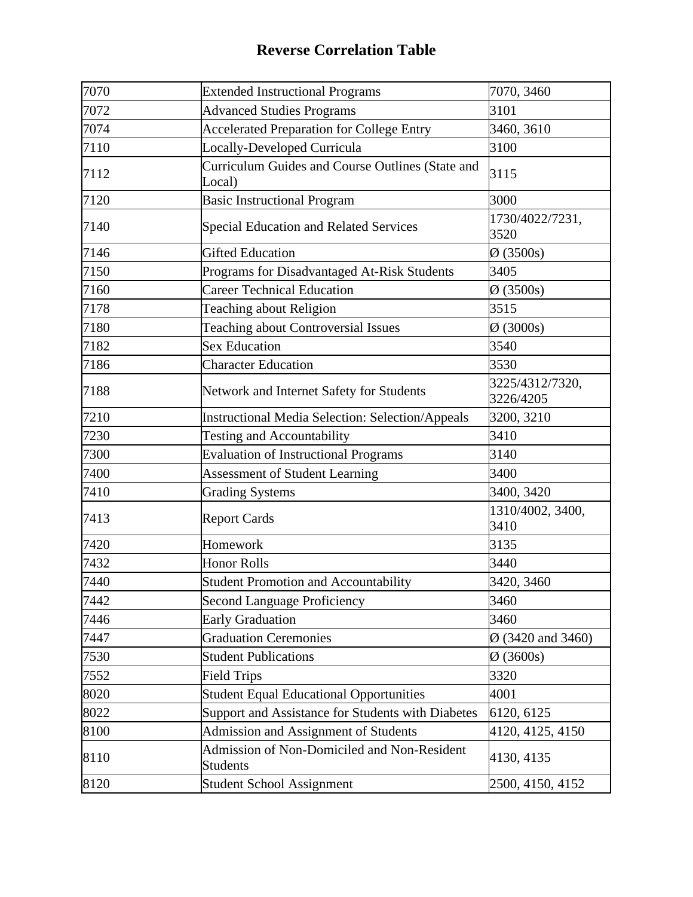| 7070 | <b>Extended Instructional Programs</b>                         | 7070, 3460                    |
|------|----------------------------------------------------------------|-------------------------------|
| 7072 | <b>Advanced Studies Programs</b>                               | 3101                          |
| 7074 | <b>Accelerated Preparation for College Entry</b>               | 3460, 3610                    |
| 7110 | Locally-Developed Curricula                                    | 3100                          |
| 7112 | Curriculum Guides and Course Outlines (State and<br>Local)     | 3115                          |
| 7120 | <b>Basic Instructional Program</b>                             | 3000                          |
| 7140 | <b>Special Education and Related Services</b>                  | 1730/4022/7231,<br>3520       |
| 7146 | <b>Gifted Education</b>                                        | $\varnothing$ (3500s)         |
| 7150 | Programs for Disadvantaged At-Risk Students                    | 3405                          |
| 7160 | <b>Career Technical Education</b>                              | $\varnothing$ (3500s)         |
| 7178 | <b>Teaching about Religion</b>                                 | 3515                          |
| 7180 | <b>Teaching about Controversial Issues</b>                     | $\varnothing$ (3000s)         |
| 7182 | <b>Sex Education</b>                                           | 3540                          |
| 7186 | <b>Character Education</b>                                     | 3530                          |
| 7188 | Network and Internet Safety for Students                       | 3225/4312/7320,<br>3226/4205  |
| 7210 | <b>Instructional Media Selection: Selection/Appeals</b>        | 3200, 3210                    |
| 7230 | Testing and Accountability                                     | 3410                          |
| 7300 | <b>Evaluation of Instructional Programs</b>                    | 3140                          |
| 7400 | <b>Assessment of Student Learning</b>                          | 3400                          |
| 7410 | <b>Grading Systems</b>                                         | 3400, 3420                    |
| 7413 | <b>Report Cards</b>                                            | 1310/4002, 3400,<br>3410      |
| 7420 | Homework                                                       | 3135                          |
| 7432 | <b>Honor Rolls</b>                                             | 3440                          |
| 7440 | Student Promotion and Accountability                           | 3420, 3460                    |
| 7442 | <b>Second Language Proficiency</b>                             | 3460                          |
| 7446 | <b>Early Graduation</b>                                        | 3460                          |
| 7447 | <b>Graduation Ceremonies</b>                                   | $\varnothing$ (3420 and 3460) |
| 7530 | <b>Student Publications</b>                                    | $\varnothing$ (3600s)         |
| 7552 | <b>Field Trips</b>                                             | 3320                          |
| 8020 | <b>Student Equal Educational Opportunities</b>                 | 4001                          |
| 8022 | Support and Assistance for Students with Diabetes              | 6120, 6125                    |
| 8100 | Admission and Assignment of Students                           | 4120, 4125, 4150              |
| 8110 | Admission of Non-Domiciled and Non-Resident<br><b>Students</b> | 4130, 4135                    |
| 8120 | <b>Student School Assignment</b>                               | 2500, 4150, 4152              |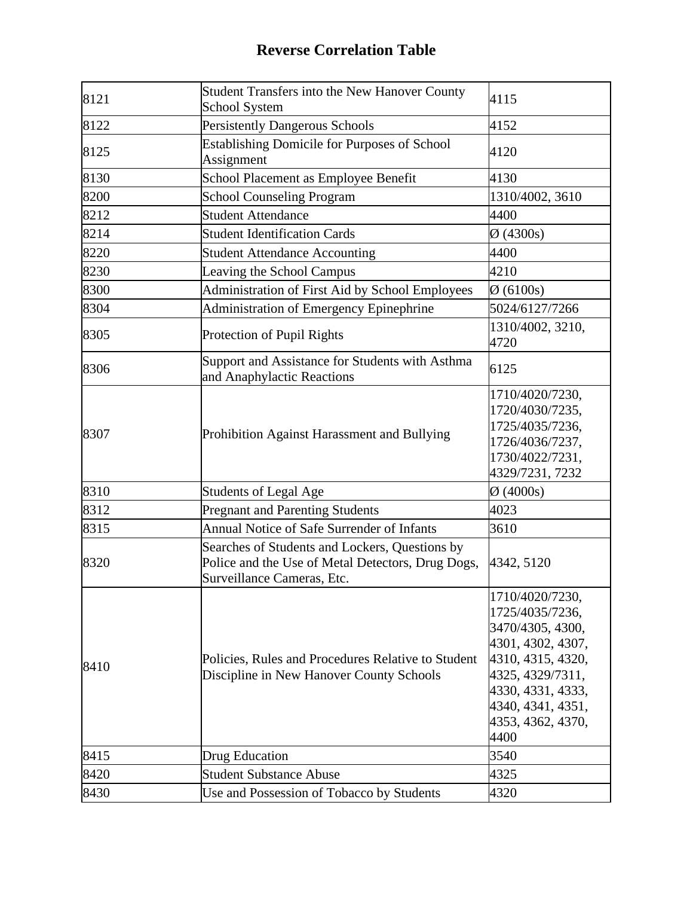| 8121 | Student Transfers into the New Hanover County<br>School System                                                                    | 4115                                                                                                                                                                                        |
|------|-----------------------------------------------------------------------------------------------------------------------------------|---------------------------------------------------------------------------------------------------------------------------------------------------------------------------------------------|
| 8122 | <b>Persistently Dangerous Schools</b>                                                                                             | 4152                                                                                                                                                                                        |
| 8125 | <b>Establishing Domicile for Purposes of School</b><br>Assignment                                                                 | 4120                                                                                                                                                                                        |
| 8130 | School Placement as Employee Benefit                                                                                              | 4130                                                                                                                                                                                        |
| 8200 | <b>School Counseling Program</b>                                                                                                  | 1310/4002, 3610                                                                                                                                                                             |
| 8212 | <b>Student Attendance</b>                                                                                                         | 4400                                                                                                                                                                                        |
| 8214 | <b>Student Identification Cards</b>                                                                                               | $Ø$ (4300s)                                                                                                                                                                                 |
| 8220 | <b>Student Attendance Accounting</b>                                                                                              | 4400                                                                                                                                                                                        |
| 8230 | Leaving the School Campus                                                                                                         | 4210                                                                                                                                                                                        |
| 8300 | Administration of First Aid by School Employees                                                                                   | $\varnothing$ (6100s)                                                                                                                                                                       |
| 8304 | <b>Administration of Emergency Epinephrine</b>                                                                                    | 5024/6127/7266                                                                                                                                                                              |
| 8305 | Protection of Pupil Rights                                                                                                        | 1310/4002, 3210,<br>4720                                                                                                                                                                    |
| 8306 | Support and Assistance for Students with Asthma<br>and Anaphylactic Reactions                                                     | 6125                                                                                                                                                                                        |
| 8307 | Prohibition Against Harassment and Bullying                                                                                       | 1710/4020/7230,<br>1720/4030/7235,<br>1725/4035/7236,<br>1726/4036/7237,<br>1730/4022/7231,<br>4329/7231, 7232                                                                              |
| 8310 | <b>Students of Legal Age</b>                                                                                                      | $\varnothing$ (4000s)                                                                                                                                                                       |
| 8312 | <b>Pregnant and Parenting Students</b>                                                                                            | 4023                                                                                                                                                                                        |
| 8315 | Annual Notice of Safe Surrender of Infants                                                                                        | 3610                                                                                                                                                                                        |
| 8320 | Searches of Students and Lockers, Questions by<br>Police and the Use of Metal Detectors, Drug Dogs,<br>Surveillance Cameras, Etc. | 4342, 5120                                                                                                                                                                                  |
| 8410 | Policies, Rules and Procedures Relative to Student<br>Discipline in New Hanover County Schools                                    | 1710/4020/7230,<br>1725/4035/7236,<br>3470/4305, 4300,<br>4301, 4302, 4307,<br>4310, 4315, 4320,<br>4325, 4329/7311,<br>4330, 4331, 4333,<br>4340, 4341, 4351,<br>4353, 4362, 4370,<br>4400 |
| 8415 | Drug Education                                                                                                                    | 3540                                                                                                                                                                                        |
| 8420 | <b>Student Substance Abuse</b>                                                                                                    | 4325                                                                                                                                                                                        |
| 8430 | Use and Possession of Tobacco by Students                                                                                         | 4320                                                                                                                                                                                        |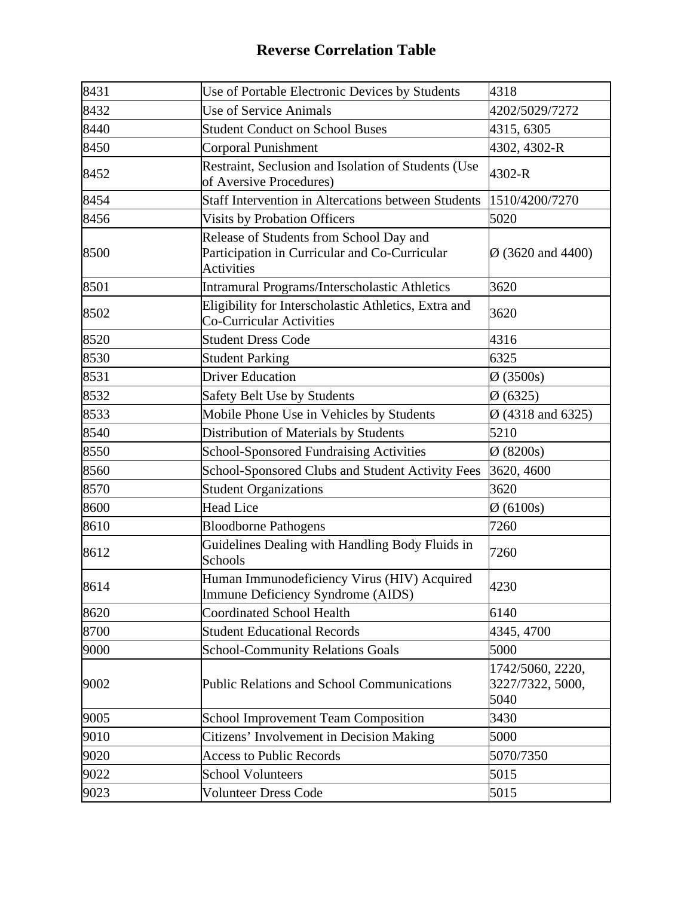| 8431 | Use of Portable Electronic Devices by Students                                                                | 4318                                         |
|------|---------------------------------------------------------------------------------------------------------------|----------------------------------------------|
| 8432 | <b>Use of Service Animals</b>                                                                                 | 4202/5029/7272                               |
| 8440 | <b>Student Conduct on School Buses</b>                                                                        | 4315, 6305                                   |
| 8450 | <b>Corporal Punishment</b>                                                                                    | 4302, 4302-R                                 |
| 8452 | Restraint, Seclusion and Isolation of Students (Use<br>of Aversive Procedures)                                | 4302-R                                       |
| 8454 | Staff Intervention in Altercations between Students                                                           | 1510/4200/7270                               |
| 8456 | <b>Visits by Probation Officers</b>                                                                           | 5020                                         |
| 8500 | Release of Students from School Day and<br>Participation in Curricular and Co-Curricular<br><b>Activities</b> | $\varnothing$ (3620 and 4400)                |
| 8501 | Intramural Programs/Interscholastic Athletics                                                                 | 3620                                         |
| 8502 | Eligibility for Interscholastic Athletics, Extra and<br><b>Co-Curricular Activities</b>                       | 3620                                         |
| 8520 | <b>Student Dress Code</b>                                                                                     | 4316                                         |
| 8530 | <b>Student Parking</b>                                                                                        | 6325                                         |
| 8531 | <b>Driver Education</b>                                                                                       | $\varnothing$ (3500s)                        |
| 8532 | Safety Belt Use by Students                                                                                   | $\varnothing$ (6325)                         |
| 8533 | Mobile Phone Use in Vehicles by Students                                                                      | $\varnothing$ (4318 and 6325)                |
| 8540 | Distribution of Materials by Students                                                                         | 5210                                         |
| 8550 | <b>School-Sponsored Fundraising Activities</b>                                                                | $\varnothing$ (8200s)                        |
| 8560 | School-Sponsored Clubs and Student Activity Fees                                                              | 3620, 4600                                   |
| 8570 | <b>Student Organizations</b>                                                                                  | 3620                                         |
| 8600 | <b>Head Lice</b>                                                                                              | $\varnothing$ (6100s)                        |
| 8610 | <b>Bloodborne Pathogens</b>                                                                                   | 7260                                         |
| 8612 | Guidelines Dealing with Handling Body Fluids in<br>Schools                                                    | 7260                                         |
| 8614 | Human Immunodeficiency Virus (HIV) Acquired<br>Immune Deficiency Syndrome (AIDS)                              | 4230                                         |
| 8620 | <b>Coordinated School Health</b>                                                                              | 6140                                         |
| 8700 | <b>Student Educational Records</b>                                                                            | 4345, 4700                                   |
| 9000 | <b>School-Community Relations Goals</b>                                                                       | 5000                                         |
| 9002 | <b>Public Relations and School Communications</b>                                                             | 1742/5060, 2220,<br>3227/7322, 5000,<br>5040 |
| 9005 | <b>School Improvement Team Composition</b>                                                                    | 3430                                         |
| 9010 | Citizens' Involvement in Decision Making                                                                      | 5000                                         |
| 9020 | <b>Access to Public Records</b>                                                                               | 5070/7350                                    |
| 9022 | <b>School Volunteers</b>                                                                                      | 5015                                         |
| 9023 | <b>Volunteer Dress Code</b>                                                                                   | 5015                                         |